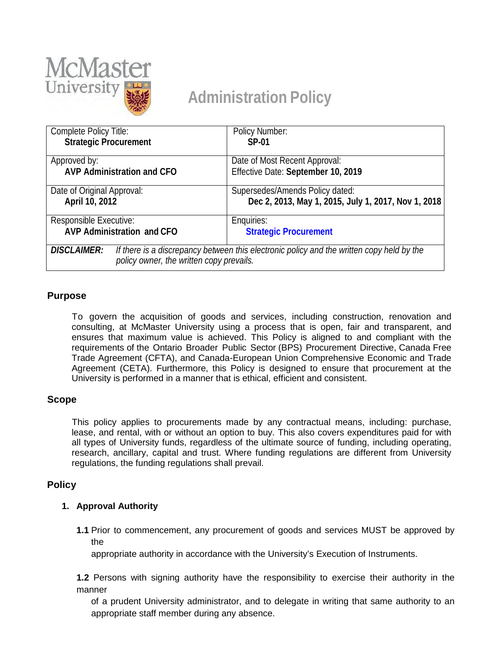

# **Administration Policy**

| Complete Policy Title:                                                                                                                                      | Policy Number:                                      |
|-------------------------------------------------------------------------------------------------------------------------------------------------------------|-----------------------------------------------------|
| <b>Strategic Procurement</b>                                                                                                                                | <b>SP-01</b>                                        |
|                                                                                                                                                             |                                                     |
| Approved by:                                                                                                                                                | Date of Most Recent Approval:                       |
| <b>AVP Administration and CFO</b>                                                                                                                           | Effective Date: September 10, 2019                  |
| Date of Original Approval:                                                                                                                                  | Supersedes/Amends Policy dated:                     |
| April 10, 2012                                                                                                                                              | Dec 2, 2013, May 1, 2015, July 1, 2017, Nov 1, 2018 |
| Responsible Executive:                                                                                                                                      | Enquiries:                                          |
| <b>AVP Administration and CFO</b>                                                                                                                           | <b>Strategic Procurement</b>                        |
| <b>DISCLAIMER:</b><br>If there is a discrepancy between this electronic policy and the written copy held by the<br>policy owner, the written copy prevails. |                                                     |

# **Purpose**

To govern the acquisition of goods and services, including construction, renovation and consulting, at McMaster University using a process that is open, fair and transparent, and ensures that maximum value is achieved. This Policy is aligned to and compliant with the requirements of the Ontario Broader Public Sector (BPS) Procurement Directive, Canada Free Trade Agreement (CFTA), and Canada-European Union Comprehensive Economic and Trade Agreement (CETA). Furthermore, this Policy is designed to ensure that procurement at the University is performed in a manner that is ethical, efficient and consistent.

## **Scope**

This policy applies to procurements made by any contractual means, including: purchase, lease, and rental, with or without an option to buy. This also covers expenditures paid for with all types of University funds, regardless of the ultimate source of funding, including operating, research, ancillary, capital and trust. Where funding regulations are different from University regulations, the funding regulations shall prevail.

# **Policy**

## **1. Approval Authority**

**1.1** Prior to commencement, any procurement of goods and services MUST be approved by the

appropriate authority in accordance with the University's Execution of Instruments.

**1.2** Persons with signing authority have the responsibility to exercise their authority in the manner

of a prudent University administrator, and to delegate in writing that same authority to an appropriate staff member during any absence.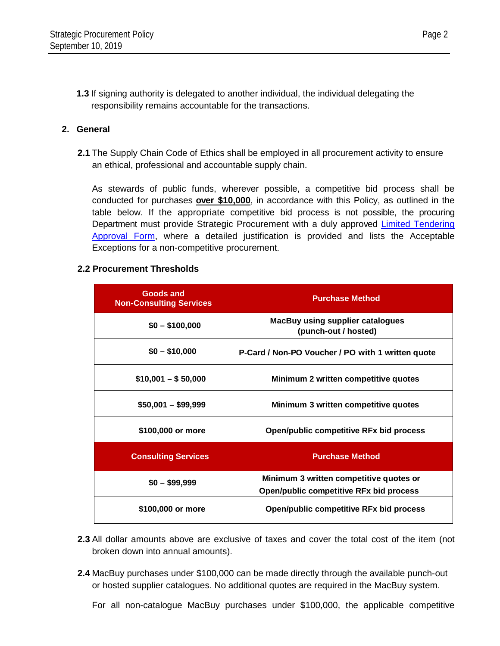**1.3** If signing authority is delegated to another individual, the individual delegating the responsibility remains accountable for the transactions.

#### **2. General**

**2.1** The Supply Chain Code of Ethics shall be employed in all procurement activity to ensure an ethical, professional and accountable supply chain.

As stewards of public funds, wherever possible, a competitive bid process shall be conducted for purchases **over \$10,000**, in accordance with this Policy, as outlined in the table below. If the appropriate competitive bid process is not possible, the procuring Department must provide Strategic Procurement with a duly approved Limited Tendering [Approval Form,](https://financial-affairs.mcmaster.ca/app/uploads/2018/10/McMaster_Limted-Tendering-Approval-Form_V3_SF.pdf) where a detailed justification is provided and lists the Acceptable Exceptions for a non-competitive procurement.

#### **2.2 Procurement Thresholds**

| <b>Goods and</b><br><b>Non-Consulting Services</b> | <b>Purchase Method</b>                                          |
|----------------------------------------------------|-----------------------------------------------------------------|
| $$0 - $100,000$                                    | <b>MacBuy using supplier catalogues</b><br>(punch-out / hosted) |
| $$0 - $10,000$                                     | P-Card / Non-PO Voucher / PO with 1 written quote               |
| $$10,001 - $50,000$                                | Minimum 2 written competitive quotes                            |
| $$50,001 - $99,999$                                | Minimum 3 written competitive quotes                            |
| \$100,000 or more                                  | Open/public competitive RFx bid process                         |
| <b>Consulting Services</b>                         | <b>Purchase Method</b>                                          |
| $$0 - $99,999$                                     | Minimum 3 written competitive quotes or                         |
|                                                    | Open/public competitive RFx bid process                         |
| \$100,000 or more                                  | Open/public competitive RFx bid process                         |

- **2.3** All dollar amounts above are exclusive of taxes and cover the total cost of the item (not broken down into annual amounts).
- **2.4** MacBuy purchases under \$100,000 can be made directly through the available punch-out or hosted supplier catalogues. No additional quotes are required in the MacBuy system.

For all non-catalogue MacBuy purchases under \$100,000, the applicable competitive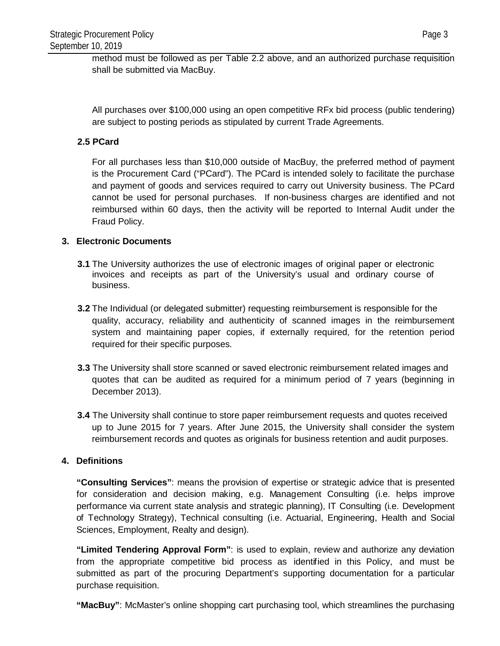method must be followed as per Table 2.2 above, and an authorized purchase requisition shall be submitted via MacBuy.

All purchases over \$100,000 using an open competitive RFx bid process (public tendering) are subject to posting periods as stipulated by current Trade Agreements.

### **2.5 PCard**

For all purchases less than \$10,000 outside of MacBuy, the preferred method of payment is the Procurement Card ("PCard"). The PCard is intended solely to facilitate the purchase and payment of goods and services required to carry out University business. The PCard cannot be used for personal purchases. If non-business charges are identified and not reimbursed within 60 days, then the activity will be reported to Internal Audit under the Fraud Policy.

#### **3. Electronic Documents**

- **3.1** The University authorizes the use of electronic images of original paper or electronic invoices and receipts as part of the University's usual and ordinary course of business.
- **3.2** The Individual (or delegated submitter) requesting reimbursement is responsible for the quality, accuracy, reliability and authenticity of scanned images in the reimbursement system and maintaining paper copies, if externally required, for the retention period required for their specific purposes.
- **3.3** The University shall store scanned or saved electronic reimbursement related images and quotes that can be audited as required for a minimum period of 7 years (beginning in December 2013).
- **3.4** The University shall continue to store paper reimbursement requests and quotes received up to June 2015 for 7 years. After June 2015, the University shall consider the system reimbursement records and quotes as originals for business retention and audit purposes.

#### **4. Definitions**

**"Consulting Services"**: means the provision of expertise or strategic advice that is presented for consideration and decision making, e.g. Management Consulting (i.e. helps improve performance via current state analysis and strategic planning), IT Consulting (i.e. Development of Technology Strategy), Technical consulting (i.e. Actuarial, Engineering, Health and Social Sciences, Employment, Realty and design).

**"Limited Tendering Approval Form"**: is used to explain, review and authorize any deviation from the appropriate competitive bid process as identified in this Policy, and must be submitted as part of the procuring Department's supporting documentation for a particular purchase requisition.

**"MacBuy"**: McMaster's online shopping cart purchasing tool, which streamlines the purchasing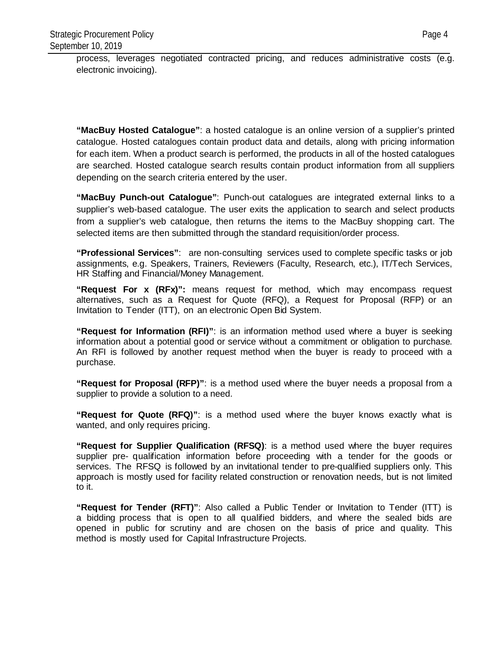process, leverages negotiated contracted pricing, and reduces administrative costs (e.g. electronic invoicing).

**"MacBuy Hosted Catalogue"**: a hosted catalogue is an online version of a supplier's printed catalogue. Hosted catalogues contain product data and details, along with pricing information for each item. When a product search is performed, the products in all of the hosted catalogues are searched. Hosted catalogue search results contain product information from all suppliers depending on the search criteria entered by the user.

**"MacBuy Punch-out Catalogue"**: Punch-out catalogues are integrated external links to a supplier's web-based catalogue. The user exits the application to search and select products from a supplier's web catalogue, then returns the items to the MacBuy shopping cart. The selected items are then submitted through the standard requisition/order process.

**"Professional Services"**: are non-consulting services used to complete specific tasks or job assignments, e.g. Speakers, Trainers, Reviewers (Faculty, Research, etc.), IT/Tech Services, HR Staffing and Financial/Money Management.

**"Request For x (RFx)":** means request for method, which may encompass request alternatives, such as a Request for Quote (RFQ), a Request for Proposal (RFP) or an Invitation to Tender (ITT), on an electronic Open Bid System.

**"Request for Information (RFI)"**: is an information method used where a buyer is seeking information about a potential good or service without a commitment or obligation to purchase. An RFI is followed by another request method when the buyer is ready to proceed with a purchase.

**"Request for Proposal (RFP)"**: is a method used where the buyer needs a proposal from a supplier to provide a solution to a need.

**"Request for Quote (RFQ)"**: is a method used where the buyer knows exactly what is wanted, and only requires pricing.

**"Request for Supplier Qualification (RFSQ)**: is a method used where the buyer requires supplier pre- qualification information before proceeding with a tender for the goods or services. The RFSQ is followed by an invitational tender to pre-qualified suppliers only. This approach is mostly used for facility related construction or renovation needs, but is not limited to it.

**"Request for Tender (RFT)"**: Also called a Public Tender or Invitation to Tender (ITT) is a bidding process that is open to all qualified bidders, and where the sealed bids are opened in public for scrutiny and are chosen on the basis of price and quality. This method is mostly used for Capital Infrastructure Projects.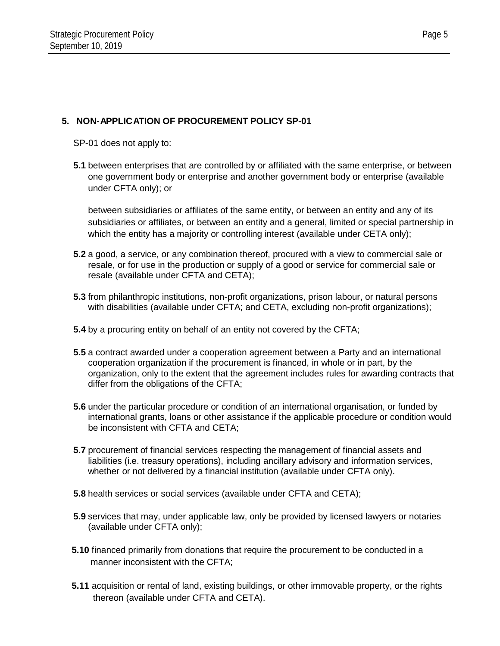# **5. NON-APPLICATION OF PROCUREMENT POLICY SP-01**

SP-01 does not apply to:

**5.1** between enterprises that are controlled by or affiliated with the same enterprise, or between one government body or enterprise and another government body or enterprise (available under CFTA only); or

between subsidiaries or affiliates of the same entity, or between an entity and any of its subsidiaries or affiliates, or between an entity and a general, limited or special partnership in which the entity has a majority or controlling interest (available under CETA only);

- **5.2** a good, a service, or any combination thereof, procured with a view to commercial sale or resale, or for use in the production or supply of a good or service for commercial sale or resale (available under CFTA and CETA);
- **5.3** from philanthropic institutions, non-profit organizations, prison labour, or natural persons with disabilities (available under CFTA; and CETA, excluding non-profit organizations);
- **5.4** by a procuring entity on behalf of an entity not covered by the CFTA;
- **5.5** a contract awarded under a cooperation agreement between a Party and an international cooperation organization if the procurement is financed, in whole or in part, by the organization, only to the extent that the agreement includes rules for awarding contracts that differ from the obligations of the CFTA;
- **5.6** under the particular procedure or condition of an international organisation, or funded by international grants, loans or other assistance if the applicable procedure or condition would be inconsistent with CFTA and CETA;
- **5.7** procurement of financial services respecting the management of financial assets and liabilities (i.e. treasury operations), including ancillary advisory and information services, whether or not delivered by a financial institution (available under CFTA only).
- **5.8** health services or social services (available under CFTA and CETA);
- **5.9** services that may, under applicable law, only be provided by licensed lawyers or notaries (available under CFTA only);
- **5.10** financed primarily from donations that require the procurement to be conducted in a manner inconsistent with the CFTA;
- **5.11** acquisition or rental of land, existing buildings, or other immovable property, or the rights thereon (available under CFTA and CETA).